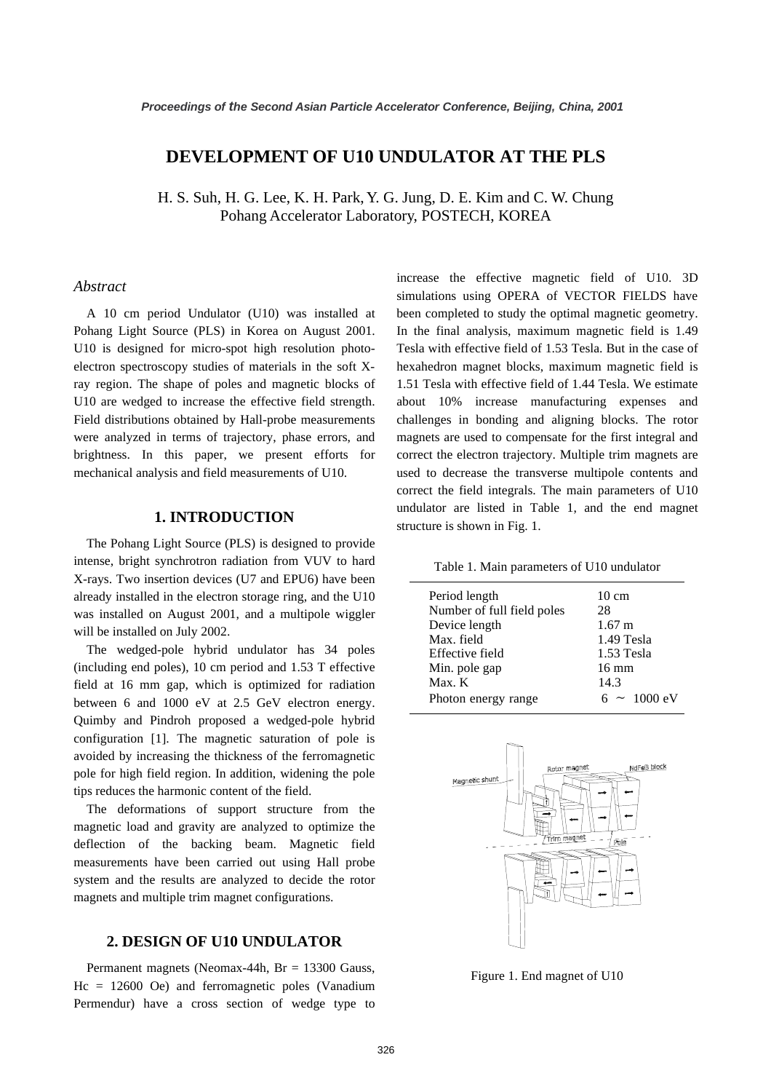# **DEVELOPMENT OF U10 UNDULATOR AT THE PLS**

H. S. Suh, H. G. Lee, K. H. Park, Y. G. Jung, D. E. Kim and C. W. Chung Pohang Accelerator Laboratory, POSTECH, KOREA

#### *Abstract*

A 10 cm period Undulator (U10) was installed at Pohang Light Source (PLS) in Korea on August 2001. U10 is designed for micro-spot high resolution photoelectron spectroscopy studies of materials in the soft Xray region. The shape of poles and magnetic blocks of U10 are wedged to increase the effective field strength. Field distributions obtained by Hall-probe measurements were analyzed in terms of trajectory, phase errors, and brightness. In this paper, we present efforts for mechanical analysis and field measurements of U10.

## **1. INTRODUCTION**

The Pohang Light Source (PLS) is designed to provide intense, bright synchrotron radiation from VUV to hard X-rays. Two insertion devices (U7 and EPU6) have been already installed in the electron storage ring, and the U10 was installed on August 2001, and a multipole wiggler will be installed on July 2002.

The wedged-pole hybrid undulator has 34 poles (including end poles), 10 cm period and 1.53 T effective field at 16 mm gap, which is optimized for radiation between 6 and 1000 eV at 2.5 GeV electron energy. Quimby and Pindroh proposed a wedged-pole hybrid configuration [1]. The magnetic saturation of pole is avoided by increasing the thickness of the ferromagnetic pole for high field region. In addition, widening the pole tips reduces the harmonic content of the field.

The deformations of support structure from the magnetic load and gravity are analyzed to optimize the deflection of the backing beam. Magnetic field measurements have been carried out using Hall probe system and the results are analyzed to decide the rotor magnets and multiple trim magnet configurations.

# **2. DESIGN OF U10 UNDULATOR**

Permanent magnets (Neomax-44h, Br = 13300 Gauss, Hc = 12600 Oe) and ferromagnetic poles (Vanadium Permendur) have a cross section of wedge type to increase the effective magnetic field of U10. 3D simulations using OPERA of VECTOR FIELDS have been completed to study the optimal magnetic geometry. In the final analysis, maximum magnetic field is 1.49 Tesla with effective field of 1.53 Tesla. But in the case of hexahedron magnet blocks, maximum magnetic field is 1.51 Tesla with effective field of 1.44 Tesla. We estimate about 10% increase manufacturing expenses and challenges in bonding and aligning blocks. The rotor magnets are used to compensate for the first integral and correct the electron trajectory. Multiple trim magnets are used to decrease the transverse multipole contents and correct the field integrals. The main parameters of U10 undulator are listed in Table 1, and the end magnet structure is shown in Fig. 1.

Table 1. Main parameters of U10 undulator

| Period length<br>Number of full field poles<br>Device length<br>Max. field<br>Effective field | $10 \text{ cm}$<br>28<br>$1.67 \text{ m}$<br>1.49 Tesla<br>1.53 Tesla |
|-----------------------------------------------------------------------------------------------|-----------------------------------------------------------------------|
| Min. pole gap                                                                                 | $16 \text{ mm}$                                                       |
| $Max$ . $K$                                                                                   | 14.3                                                                  |
| Photon energy range                                                                           | $6 \sim 1000 \text{ eV}$                                              |



Figure 1. End magnet of U10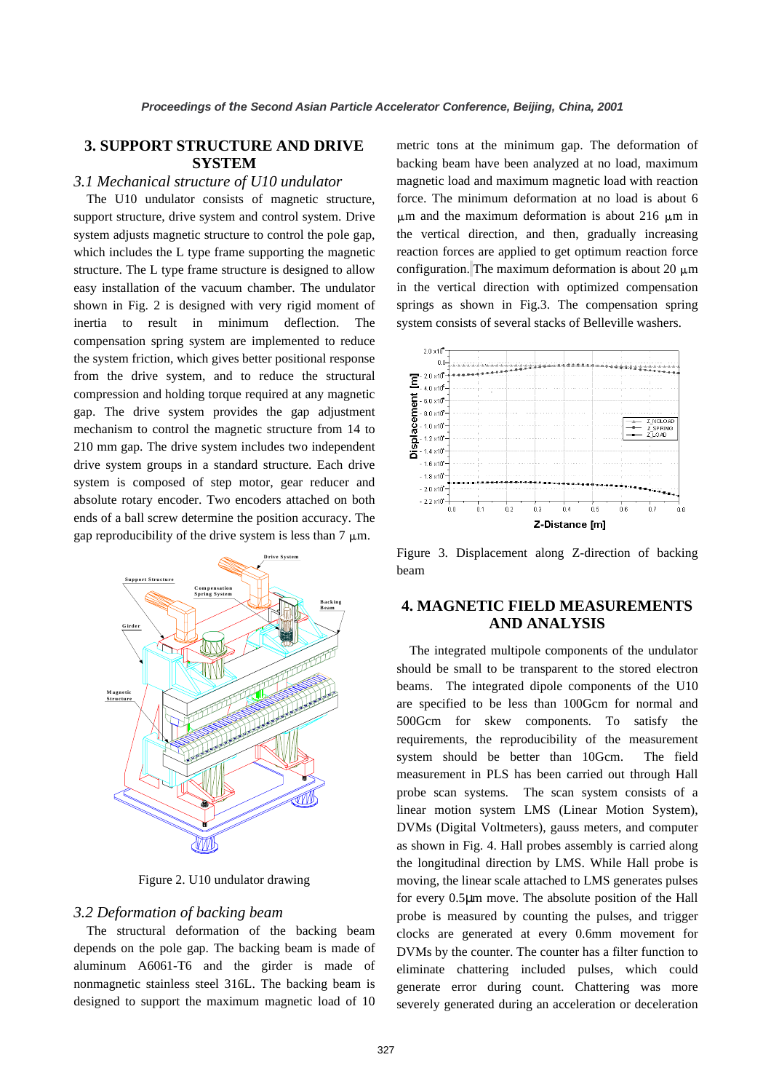# **3. SUPPORT STRUCTURE AND DRIVE SYSTEM**

### *3.1 Mechanical structure of U10 undulator*

The U10 undulator consists of magnetic structure, support structure, drive system and control system. Drive system adjusts magnetic structure to control the pole gap, which includes the L type frame supporting the magnetic structure. The L type frame structure is designed to allow easy installation of the vacuum chamber. The undulator shown in Fig. 2 is designed with very rigid moment of inertia to result in minimum deflection. The compensation spring system are implemented to reduce the system friction, which gives better positional response from the drive system, and to reduce the structural compression and holding torque required at any magnetic gap. The drive system provides the gap adjustment mechanism to control the magnetic structure from 14 to 210 mm gap. The drive system includes two independent drive system groups in a standard structure. Each drive system is composed of step motor, gear reducer and absolute rotary encoder. Two encoders attached on both ends of a ball screw determine the position accuracy. The gap reproducibility of the drive system is less than  $7 \mu m$ .



Figure 2. U10 undulator drawing

## *3.2 Deformation of backing beam*

The structural deformation of the backing beam depends on the pole gap. The backing beam is made of aluminum A6061-T6 and the girder is made of nonmagnetic stainless steel 316L. The backing beam is designed to support the maximum magnetic load of 10

metric tons at the minimum gap. The deformation of backing beam have been analyzed at no load, maximum magnetic load and maximum magnetic load with reaction force. The minimum deformation at no load is about 6  $\mu$ m and the maximum deformation is about 216  $\mu$ m in the vertical direction, and then, gradually increasing reaction forces are applied to get optimum reaction force configuration. The maximum deformation is about 20  $\mu$ m in the vertical direction with optimized compensation springs as shown in Fig.3. The compensation spring system consists of several stacks of Belleville washers.



Figure 3. Displacement along Z-direction of backing beam

# **4. MAGNETIC FIELD MEASUREMENTS AND ANALYSIS**

The integrated multipole components of the undulator should be small to be transparent to the stored electron beams. The integrated dipole components of the U10 are specified to be less than 100Gcm for normal and 500Gcm for skew components. To satisfy the requirements, the reproducibility of the measurement system should be better than 10Gcm. The field measurement in PLS has been carried out through Hall probe scan systems. The scan system consists of a linear motion system LMS (Linear Motion System), DVMs (Digital Voltmeters), gauss meters, and computer as shown in Fig. 4. Hall probes assembly is carried along the longitudinal direction by LMS. While Hall probe is moving, the linear scale attached to LMS generates pulses for every 0.5µm move. The absolute position of the Hall probe is measured by counting the pulses, and trigger clocks are generated at every 0.6mm movement for DVMs by the counter. The counter has a filter function to eliminate chattering included pulses, which could generate error during count. Chattering was more severely generated during an acceleration or deceleration